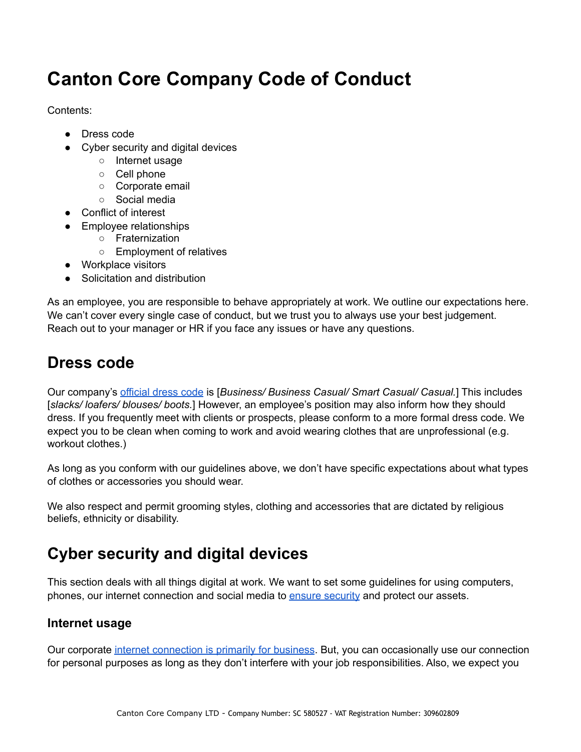# **Canton Core Company Code of Conduct**

Contents:

- Dress code
- Cyber security and digital devices
	- Internet usage
	- Cell phone
	- Corporate email
	- Social media
- Conflict of interest
- Employee relationships
	- Fraternization
	- Employment of relatives
- Workplace visitors
- **Solicitation and distribution**

As an employee, you are responsible to behave appropriately at work. We outline our expectations here. We can't cover every single case of conduct, but we trust you to always use your best judgement. Reach out to your manager or HR if you face any issues or have any questions.

### **Dress code**

Our company'[s official dress code](https://resources.workable.com/dress-code-company-policy) is [*Business/ Business Casual/ Smart Casual/ Casual.*] This includes [*slacks/ loafers/ blouses/ boots.*] However, an employee's position may also inform how they should dress. If you frequently meet with clients or prospects, please conform to a more formal dress code. We expect you to be clean when coming to work and avoid wearing clothes that are unprofessional (e.g. workout clothes.)

As long as you conform with our guidelines above, we don't have specific expectations about what types of clothes or accessories you should wear.

We also respect and permit grooming styles, clothing and accessories that are dictated by religious beliefs, ethnicity or disability.

## **Cyber security and digital devices**

This section deals with all things digital at work. We want to set some guidelines for using computers, phones, our internet connection and social media to **ensure security** and protect our assets.

### **Internet usage**

Our corporate [internet connection is primarily for business.](https://resources.workable.com/internet-usage-policy) But, you can occasionally use our connection for personal purposes as long as they don't interfere with your job responsibilities. Also, we expect you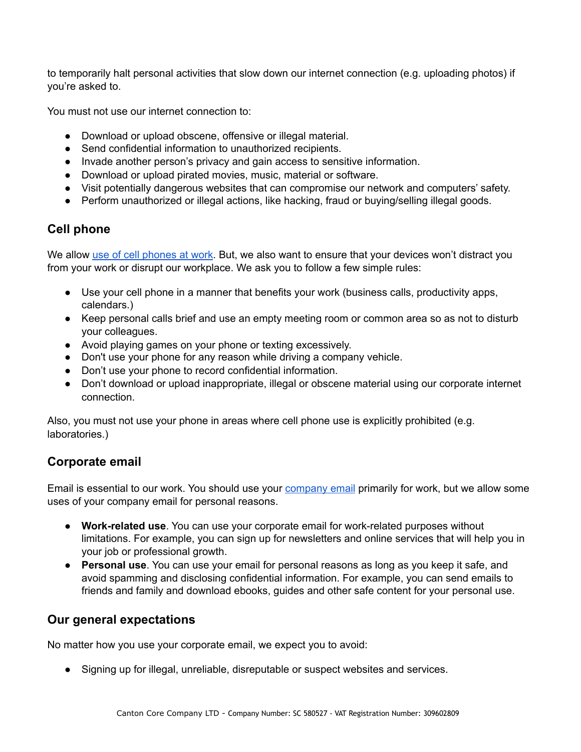to temporarily halt personal activities that slow down our internet connection (e.g. uploading photos) if you're asked to.

You must not use our internet connection to:

- Download or upload obscene, offensive or illegal material.
- Send confidential information to unauthorized recipients.
- Invade another person's privacy and gain access to sensitive information.
- Download or upload pirated movies, music, material or software.
- Visit potentially dangerous websites that can compromise our network and computers' safety.
- Perform unauthorized or illegal actions, like hacking, fraud or buying/selling illegal goods.

### **Cell phone**

We allo[w use of cell phones at work](https://resources.workable.com/cell-phone-company-policy). But, we also want to ensure that your devices won't distract you from your work or disrupt our workplace. We ask you to follow a few simple rules:

- Use your cell phone in a manner that benefits your work (business calls, productivity apps, calendars.)
- Keep personal calls brief and use an empty meeting room or common area so as not to disturb your colleagues.
- Avoid playing games on your phone or texting excessively.
- Don't use your phone for any reason while driving a company vehicle.
- Don't use your phone to record confidential information.
- Don't download or upload inappropriate, illegal or obscene material using our corporate internet connection.

Also, you must not use your phone in areas where cell phone use is explicitly prohibited (e.g. laboratories.)

### **Corporate email**

Email is essential to our work. You should use you[r company email](https://resources.workable.com/email-usage-policy-template) primarily for work, but we allow some uses of your company email for personal reasons.

- **Work-related use**. You can use your corporate email for work-related purposes without limitations. For example, you can sign up for newsletters and online services that will help you in your job or professional growth.
- **Personal use**. You can use your email for personal reasons as long as you keep it safe, and avoid spamming and disclosing confidential information. For example, you can send emails to friends and family and download ebooks, guides and other safe content for your personal use.

#### **Our general expectations**

No matter how you use your corporate email, we expect you to avoid:

● Signing up for illegal, unreliable, disreputable or suspect websites and services.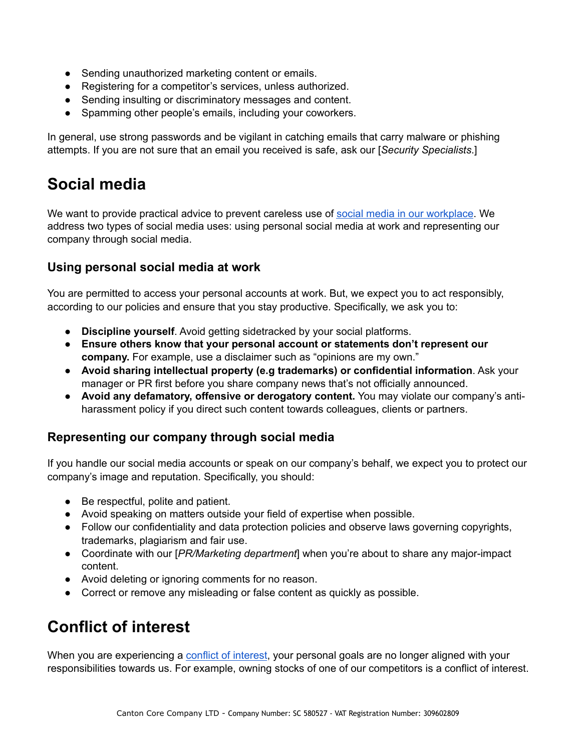- Sending unauthorized marketing content or emails.
- Registering for a competitor's services, unless authorized.
- Sending insulting or discriminatory messages and content.
- Spamming other people's emails, including your coworkers.

In general, use strong passwords and be vigilant in catching emails that carry malware or phishing attempts. If you are not sure that an email you received is safe, ask our [*Security Specialists*.]

### **Social media**

We want to provide practical advice to prevent careless use of [social media in our workplace](https://resources.workable.com/social-media-company-policy). We address two types of social media uses: using personal social media at work and representing our company through social media.

#### **Using personal social media at work**

You are permitted to access your personal accounts at work. But, we expect you to act responsibly, according to our policies and ensure that you stay productive. Specifically, we ask you to:

- **Discipline yourself**. Avoid getting sidetracked by your social platforms.
- **Ensure others know that your personal account or statements don't represent our company.** For example, use a disclaimer such as "opinions are my own."
- **Avoid sharing intellectual property (e.g trademarks) or confidential information**. Ask your manager or PR first before you share company news that's not officially announced.
- **Avoid any defamatory, offensive or derogatory content.** You may violate our company's antiharassment policy if you direct such content towards colleagues, clients or partners.

#### **Representing our company through social media**

If you handle our social media accounts or speak on our company's behalf, we expect you to protect our company's image and reputation. Specifically, you should:

- Be respectful, polite and patient.
- Avoid speaking on matters outside your field of expertise when possible.
- Follow our confidentiality and data protection policies and observe laws governing copyrights, trademarks, plagiarism and fair use.
- Coordinate with our [*PR/Marketing department*] when you're about to share any major-impact content.
- Avoid deleting or ignoring comments for no reason.
- Correct or remove any misleading or false content as quickly as possible.

### **Conflict of interest**

When you are experiencing [a conflict of interest](https://resources.workable.com/conflict-of-interest-company-policy), your personal goals are no longer aligned with your responsibilities towards us. For example, owning stocks of one of our competitors is a conflict of interest.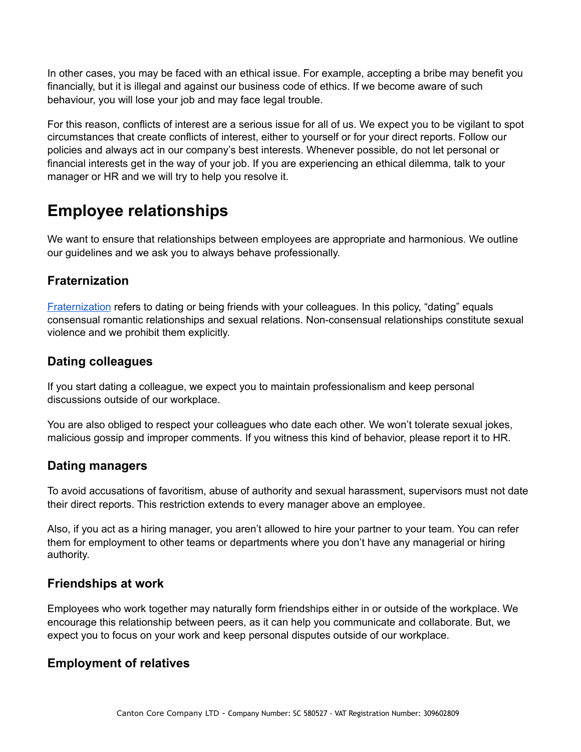In other cases, you may be faced with an ethical issue. For example, accepting a bribe may benefit you financially, but it is illegal and against our business code of ethics. If we become aware of such behaviour, you will lose your job and may face legal trouble.

For this reason, conflicts of interest are a serious issue for all of us. We expect you to be vigilant to spot circumstances that create conflicts of interest, either to yourself or for your direct reports. Follow our policies and always act in our company's best interests. Whenever possible, do not let personal or financial interests get in the way of your job. If you are experiencing an ethical dilemma, talk to your manager or HR and we will try to help you resolve it.

### **Employee relationships**

We want to ensure that relationships between employees are appropriate and harmonious. We outline our guidelines and we ask you to always behave professionally.

### **Fraternization**

[Fraternization](https://resources.workable.com/fraternization-policy) refers to dating or being friends with your colleagues. In this policy, "dating" equals consensual romantic relationships and sexual relations. Non-consensual relationships constitute sexual violence and we prohibit them explicitly.

### **Dating colleagues**

If you start dating a colleague, we expect you to maintain professionalism and keep personal discussions outside of our workplace.

You are also obliged to respect your colleagues who date each other. We won't tolerate sexual jokes, malicious gossip and improper comments. If you witness this kind of behavior, please report it to HR.

### **Dating managers**

To avoid accusations of favoritism, abuse of authority and sexual harassment, supervisors must not date their direct reports. This restriction extends to every manager above an employee.

Also, if you act as a hiring manager, you aren't allowed to hire your partner to your team. You can refer them for employment to other teams or departments where you don't have any managerial or hiring authority.

#### **Friendships at work**

Employees who work together may naturally form friendships either in or outside of the workplace. We encourage this relationship between peers, as it can help you communicate and collaborate. But, we expect you to focus on your work and keep personal disputes outside of our workplace.

#### **Employment of relatives**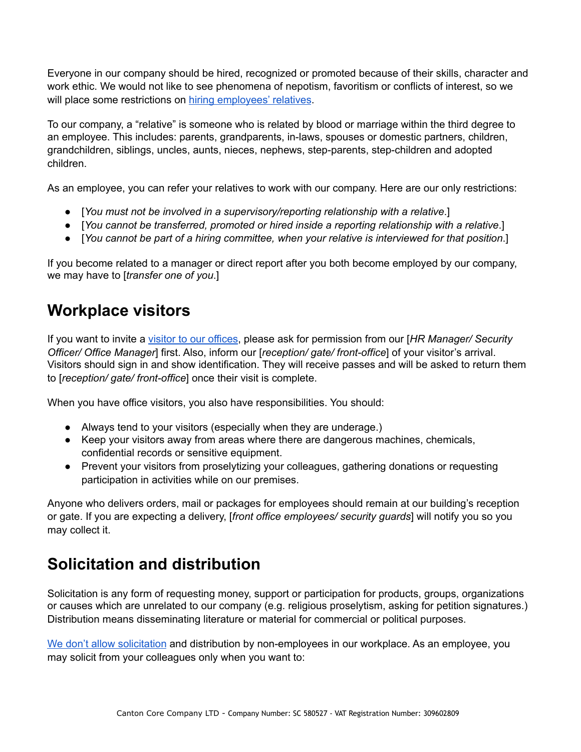Everyone in our company should be hired, recognized or promoted because of their skills, character and work ethic. We would not like to see phenomena of nepotism, favoritism or conflicts of interest, so we will place some restrictions o[n hiring employees' relatives](https://resources.workable.com/employment-of-relatives-company-policy).

To our company, a "relative" is someone who is related by blood or marriage within the third degree to an employee. This includes: parents, grandparents, in-laws, spouses or domestic partners, children, grandchildren, siblings, uncles, aunts, nieces, nephews, step-parents, step-children and adopted children.

As an employee, you can refer your relatives to work with our company. Here are our only restrictions:

- [*You must not be involved in a supervisory/reporting relationship with a relative*.]
- [*You cannot be transferred, promoted or hired inside a reporting relationship with a relative*.]
- [*You cannot be part of a hiring committee, when your relative is interviewed for that position*.]

If you become related to a manager or direct report after you both become employed by our company, we may have to [*transfer one of you*.]

### **Workplace visitors**

If you want to invite [a visitor to our offices,](https://resources.workable.com/workplace-visitor-policy-template) please ask for permission from our [*HR Manager/ Security Officer/ Office Manager*] first. Also, inform our [*reception/ gate/ front-office*] of your visitor's arrival. Visitors should sign in and show identification. They will receive passes and will be asked to return them to [*reception/ gate/ front-office*] once their visit is complete.

When you have office visitors, you also have responsibilities. You should:

- Always tend to your visitors (especially when they are underage.)
- Keep your visitors away from areas where there are dangerous machines, chemicals, confidential records or sensitive equipment.
- Prevent your visitors from proselytizing your colleagues, gathering donations or requesting participation in activities while on our premises.

Anyone who delivers orders, mail or packages for employees should remain at our building's reception or gate. If you are expecting a delivery, [*front office employees/ security guards*] will notify you so you may collect it.

### **Solicitation and distribution**

Solicitation is any form of requesting money, support or participation for products, groups, organizations or causes which are unrelated to our company (e.g. religious proselytism, asking for petition signatures.) Distribution means disseminating literature or material for commercial or political purposes.

[We don't allow solicitation](https://resources.workable.com/solicitation-company-policy) and distribution by non-employees in our workplace. As an employee, you may solicit from your colleagues only when you want to: